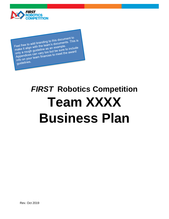# *FIRST* **Robotics Competition Team XXXX Business Plan**

Feel free to add branding to this document to<br>Feel free to add branding to this documents. This Feel free to add branding to this documents. This is<br>make it align with the team's documents. This is<br>make it align with the team's an example.<br>was rough guideline as an example to include Feel free to add blue.<br>
make it align with the team's documents<br>
only a rough guideline as an example.<br>
only a rough guideline as an example. Feel tree to do with the teams are ample.<br>
make it align with the teams are example.<br>
only a rough guideline as an example.<br>
Appendices can vary too but be sure to include<br>
Appendices can viam finances to meet the award make it angle guideline as an one sure to include<br>only a rough guideline as an out be sure to include<br>Appendices can vary too but be sure the award<br>info on your team finances to meet the award guidelines.

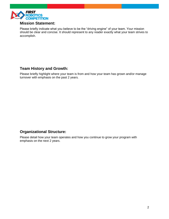

#### **Mission Statement:**

Please briefly indicate what you believe to be the "driving engine" of your team. Your mission should be clear and concise. It should represent to any reader exactly what your team strives to accomplish.

#### **Team History and Growth:**

Please briefly highlight where your team is from and how your team has grown and/or manage turnover with emphasis on the past 2 years.

#### **Organizational Structure:**

Please detail how your team operates and how you continue to grow your program with emphasis on the next 2 years.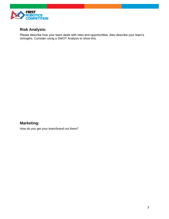

## **Risk Analysis:**

Please describe how your team deals with risks and opportunities. Also describe your team's strengths. Consider using a SWOT Analysis to show this.

### **Marketing:**

How do you get your team/brand out there?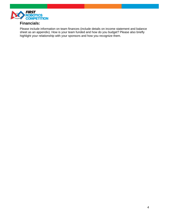

#### **Financials:**

Please include information on team finances (include details on income statement and balance sheet as an appendix). How is your team funded and how do you budget? Please also briefly highlight your relationship with your sponsors and how you recognize them.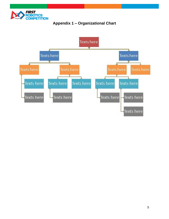

# **Appendix 1 – Organizational Chart**

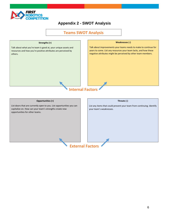

## **Appendix 2 - SWOT Analysis**